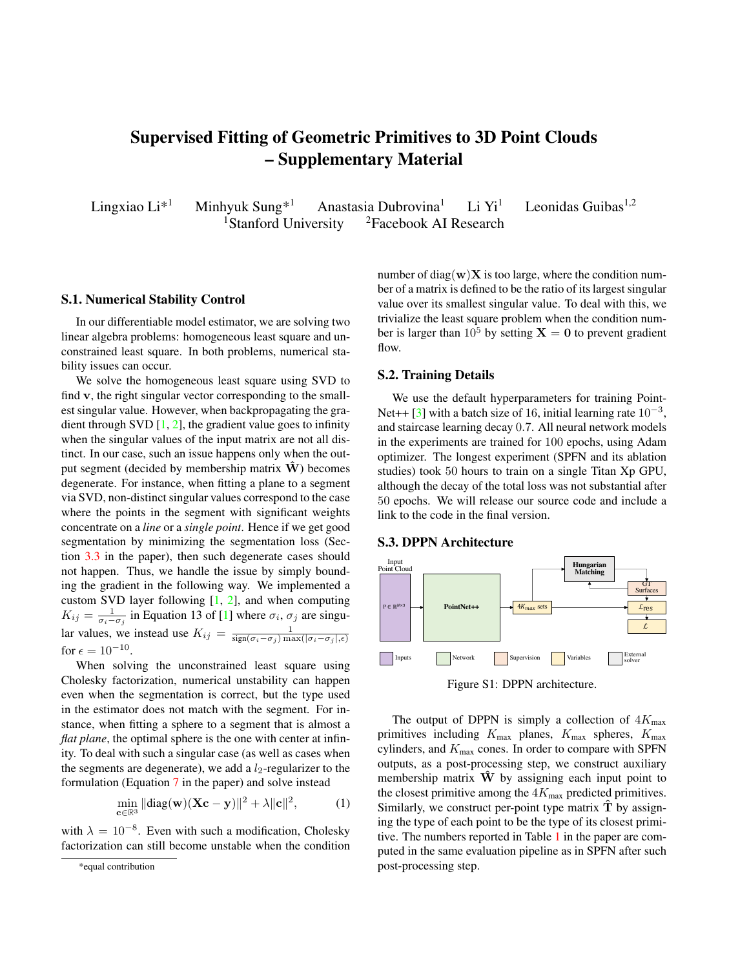# <span id="page-0-1"></span>Supervised Fitting of Geometric Primitives to 3D Point Clouds – Supplementary Material

Lingxiao Li<sup>\*1</sup> Minhyuk Sung<sup>\*1</sup> Anastasia Dubrovina<sup>1</sup> Li Yi<sup>1</sup> Leonidas Guibas<sup>1,2</sup> <sup>1</sup>Stanford University  $\frac{2F}{2}$ Facebook AI Research

## <span id="page-0-0"></span>S.1. Numerical Stability Control

In our differentiable model estimator, we are solving two linear algebra problems: homogeneous least square and unconstrained least square. In both problems, numerical stability issues can occur.

We solve the homogeneous least square using SVD to find v, the right singular vector corresponding to the smallest singular value. However, when backpropagating the gradient through SVD  $[1, 2]$  $[1, 2]$  $[1, 2]$ , the gradient value goes to infinity when the singular values of the input matrix are not all distinct. In our case, such an issue happens only when the output segment (decided by membership matrix  $W$ ) becomes degenerate. For instance, when fitting a plane to a segment via SVD, non-distinct singular values correspond to the case where the points in the segment with significant weights concentrate on a *line* or a *single point*. Hence if we get good segmentation by minimizing the segmentation loss (Section [3.3](#page-0-0) in the paper), then such degenerate cases should not happen. Thus, we handle the issue by simply bounding the gradient in the following way. We implemented a custom SVD layer following  $[1, 2]$  $[1, 2]$  $[1, 2]$ , and when computing  $K_{ij} = \frac{1}{\sigma_i - \sigma_j}$  in Equation 13 of [\[1\]](#page-1-0) where  $\sigma_i$ ,  $\sigma_j$  are singular values, we instead use  $K_{ij} = \frac{1}{\text{sign}(\sigma_i - \sigma_j) \max(|\sigma_i - \sigma_j|, \epsilon)}$ for  $\epsilon = 10^{-10}$ .

When solving the unconstrained least square using Cholesky factorization, numerical unstability can happen even when the segmentation is correct, but the type used in the estimator does not match with the segment. For instance, when fitting a sphere to a segment that is almost a *flat plane*, the optimal sphere is the one with center at infinity. To deal with such a singular case (as well as cases when the segments are degenerate), we add a  $l_2$ -regularizer to the formulation (Equation [7](#page-0-0) in the paper) and solve instead

$$
\min_{\mathbf{c}\in\mathbb{R}^3} \|\text{diag}(\mathbf{w})(\mathbf{X}\mathbf{c} - \mathbf{y})\|^2 + \lambda \|\mathbf{c}\|^2, \tag{1}
$$

with  $\lambda = 10^{-8}$ . Even with such a modification, Cholesky factorization can still become unstable when the condition number of diag(w) $X$  is too large, where the condition number of a matrix is defined to be the ratio of its largest singular value over its smallest singular value. To deal with this, we trivialize the least square problem when the condition number is larger than  $10^5$  by setting  $X = 0$  to prevent gradient flow.

#### S.2. Training Details

We use the default hyperparameters for training Point-Net++ [\[3\]](#page-1-2) with a batch size of 16, initial learning rate  $10^{-3}$ , and staircase learning decay 0.7. All neural network models in the experiments are trained for 100 epochs, using Adam optimizer. The longest experiment (SPFN and its ablation studies) took 50 hours to train on a single Titan Xp GPU, although the decay of the total loss was not substantial after 50 epochs. We will release our source code and include a link to the code in the final version.

### S.3. DPPN Architecture



Figure S1: DPPN architecture.

The output of DPPN is simply a collection of  $4K_{\text{max}}$ primitives including  $K_{\text{max}}$  planes,  $K_{\text{max}}$  spheres,  $K_{\text{max}}$ cylinders, and  $K_{\text{max}}$  cones. In order to compare with SPFN outputs, as a post-processing step, we construct auxiliary membership matrix  $W$  by assigning each input point to the closest primitive among the  $4K_{\text{max}}$  predicted primitives. Similarly, we construct per-point type matrix  $\hat{T}$  by assigning the type of each point to be the type of its closest primitive. The numbers reported in Table [1](#page-0-0) in the paper are computed in the same evaluation pipeline as in SPFN after such post-processing step.

<sup>\*</sup>equal contribution